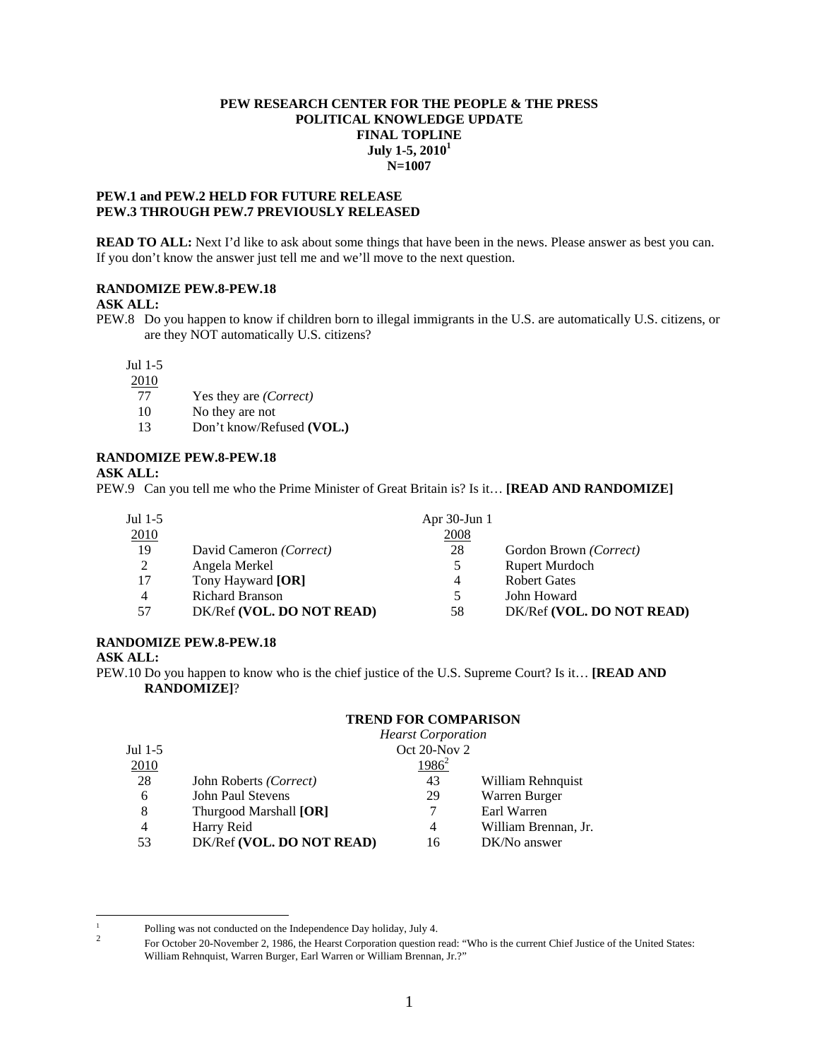# **PEW RESEARCH CENTER FOR THE PEOPLE & THE PRESS POLITICAL KNOWLEDGE UPDATE FINAL TOPLINE July 1-5, 20101 N=1007**

## **PEW.1 and PEW.2 HELD FOR FUTURE RELEASE PEW.3 THROUGH PEW.7 PREVIOUSLY RELEASED**

**READ TO ALL:** Next I'd like to ask about some things that have been in the news. Please answer as best you can. If you don't know the answer just tell me and we'll move to the next question.

# **RANDOMIZE PEW.8-PEW.18**

## **ASK ALL:**

PEW.8 Do you happen to know if children born to illegal immigrants in the U.S. are automatically U.S. citizens, or are they NOT automatically U.S. citizens?

Jul 1-5

2010

- 77 Yes they are *(Correct)*
- 10 No they are not
- 13 Don't know/Refused **(VOL.)**

# **RANDOMIZE PEW.8-PEW.18**

**ASK ALL:** 

PEW.9 Can you tell me who the Prime Minister of Great Britain is? Is it… **[READ AND RANDOMIZE]** 

| Jul $1-5$      |                           | Apr $30$ -Jun 1 |                           |
|----------------|---------------------------|-----------------|---------------------------|
| 2010           |                           | 2008            |                           |
| 19             | David Cameron (Correct)   | 28              | Gordon Brown (Correct)    |
| 2              | Angela Merkel             |                 | <b>Rupert Murdoch</b>     |
| 17             | Tony Hayward [OR]         | 4               | <b>Robert Gates</b>       |
| $\overline{4}$ | <b>Richard Branson</b>    |                 | John Howard               |
| 57             | DK/Ref (VOL. DO NOT READ) | 58              | DK/Ref (VOL. DO NOT READ) |

# **RANDOMIZE PEW.8-PEW.18**

# **ASK ALL:**

PEW.10 Do you happen to know who is the chief justice of the U.S. Supreme Court? Is it… **[READ AND RANDOMIZE]**?

# **TREND FOR COMPARISON**

|                |                           | <b>Hearst Corporation</b> |                      |
|----------------|---------------------------|---------------------------|----------------------|
| Jul $1-5$      |                           | Oct $20$ -Nov $2$         |                      |
| 2010           |                           | $1986^2$                  |                      |
| 28             | John Roberts (Correct)    | 43                        | William Rehnquist    |
| 6              | John Paul Stevens         | 29                        | Warren Burger        |
| 8              | Thurgood Marshall [OR]    |                           | Earl Warren          |
| $\overline{4}$ | Harry Reid                | 4                         | William Brennan, Jr. |
| 53             | DK/Ref (VOL. DO NOT READ) | 16                        | DK/No answer         |

 $\frac{1}{1}$  Polling was not conducted on the Independence Day holiday, July 4. 2

For October 20-November 2, 1986, the Hearst Corporation question read: "Who is the current Chief Justice of the United States: William Rehnquist, Warren Burger, Earl Warren or William Brennan, Jr.?"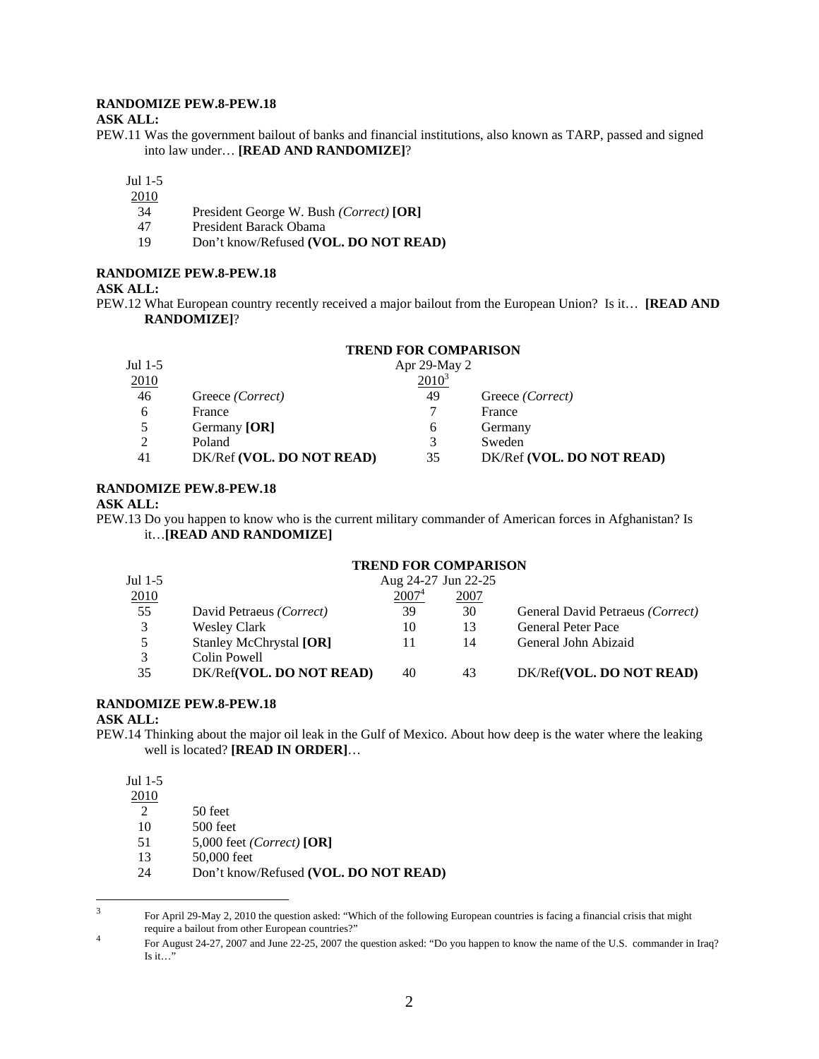# **RANDOMIZE PEW.8-PEW.18**

#### **ASK ALL:**

PEW.11 Was the government bailout of banks and financial institutions, also known as TARP, passed and signed into law under… **[READ AND RANDOMIZE]**?

Jul 1-5

- 2010
- 34 President George W. Bush *(Correct)* **[OR]**
- 47 President Barack Obama<br>19 Don't know/Refused (VC
- 19 Don't know/Refused **(VOL. DO NOT READ)**

# **RANDOMIZE PEW.8-PEW.18**

## **ASK ALL:**

PEW.12 What European country recently received a major bailout from the European Union? Is it… **[READ AND RANDOMIZE]**?

#### **TREND FOR COMPARISON**

| Jul $1-5$<br>2010 |                           | Apr 29-May 2<br>$2010^3$ |                           |
|-------------------|---------------------------|--------------------------|---------------------------|
| 46                | Greece <i>(Correct)</i>   | 49                       | Greece <i>(Correct)</i>   |
| 6                 | France                    |                          | France                    |
|                   | Germany [OR]              | 6                        | Germany                   |
| 2                 | Poland                    | 3                        | Sweden                    |
| 41                | DK/Ref (VOL. DO NOT READ) | 35                       | DK/Ref (VOL. DO NOT READ) |

## **RANDOMIZE PEW.8-PEW.18**

#### **ASK ALL:**

PEW.13 Do you happen to know who is the current military commander of American forces in Afghanistan? Is it…**[READ AND RANDOMIZE]**

## **TREND FOR COMPARISON**

| Jul 1-5 |                          | Aug 24-27 Jun 22-25 |      |                                  |
|---------|--------------------------|---------------------|------|----------------------------------|
| 2010    |                          | 2007 <sup>4</sup>   | 2007 |                                  |
| 55      | David Petraeus (Correct) | 39                  | 30   | General David Petraeus (Correct) |
| 3       | <b>Wesley Clark</b>      | 10                  | 13   | <b>General Peter Pace</b>        |
| 5       | Stanley McChrystal [OR]  |                     | 14   | General John Abizaid             |
| 3       | Colin Powell             |                     |      |                                  |
| 35      | DK/Ref(VOL. DO NOT READ) | 40                  | 43   | DK/Ref(VOL. DO NOT READ)         |
|         |                          |                     |      |                                  |

# **RANDOMIZE PEW.8-PEW.18**

# **ASK ALL:**

PEW.14 Thinking about the major oil leak in the Gulf of Mexico. About how deep is the water where the leaking well is located? **[READ IN ORDER]**…

Jul 1-5

2010

2 50 feet

10 500 feet

- 51 5,000 feet *(Correct)* **[OR]**
- 13 50,000 feet
- 24 Don't know/Refused **(VOL. DO NOT READ)**

<sup>&</sup>lt;sup>2</sup><br>3 For April 29-May 2, 2010 the question asked: "Which of the following European countries is facing a financial crisis that might require a bailout from other European countries?"<br>
Fig. Appeal 22, 2007 and Integ 22, 25, 2007 the

For August 24-27, 2007 and June 22-25, 2007 the question asked: "Do you happen to know the name of the U.S. commander in Iraq? Is it…"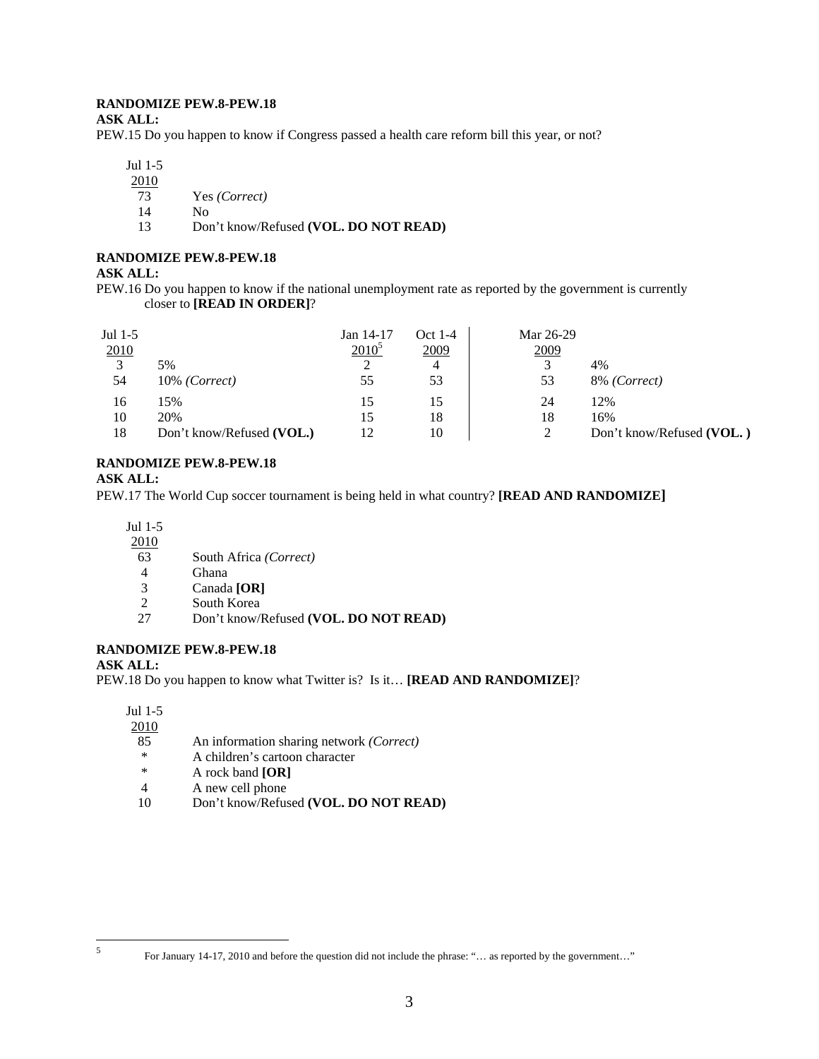# **RANDOMIZE PEW.8-PEW.18**

### **ASK ALL:**

PEW.15 Do you happen to know if Congress passed a health care reform bill this year, or not?

Jul 1-5

 $\frac{2010}{73}$ 

- 73 Yes *(Correct)*
- 14 No
- 13 Don't know/Refused **(VOL. DO NOT READ)**

# **RANDOMIZE PEW.8-PEW.18**

## **ASK ALL:**

PEW.16 Do you happen to know if the national unemployment rate as reported by the government is currently closer to **[READ IN ORDER]**?

| Jul 1-5<br>2010<br>$\mathcal{R}$ | 5%                        | Jan 14-17<br>$2010^5$ | Oct 1-4<br>2009<br>4 | Mar 26-29<br>2009 | 4%                        |
|----------------------------------|---------------------------|-----------------------|----------------------|-------------------|---------------------------|
| 54                               | $10\%$ (Correct)          | 55                    | 53                   | 53                | 8% (Correct)              |
| 16                               | 15%                       | 15                    | 15                   | 24                | 12%                       |
| 10                               | 20%                       | 15                    | 18                   | 18                | 16%                       |
| 18                               | Don't know/Refused (VOL.) | 12                    | 10                   |                   | Don't know/Refused (VOL.) |

# **RANDOMIZE PEW.8-PEW.18**

# **ASK ALL:**

PEW.17 The World Cup soccer tournament is being held in what country? **[READ AND RANDOMIZE]**

Jul 1-5

- 2010
- 63 South Africa *(Correct)*
- 
- 4 Ghana<br>3 Canada 3 Canada **[OR]**
- South Korea
- 27 Don't know/Refused **(VOL. DO NOT READ)**

# **RANDOMIZE PEW.8-PEW.18**

# **ASK ALL:**

PEW.18 Do you happen to know what Twitter is? Is it… **[READ AND RANDOMIZE]**?

Jul 1-5

- 2010
- 85 An information sharing network *(Correct)*
- \* A children's cartoon character<br> $\frac{1}{2}$  A rock band **[OR]**
- A rock band **[OR]**
- 4 A new cell phone
- 10 Don't know/Refused **(VOL. DO NOT READ)**

 5

For January 14-17, 2010 and before the question did not include the phrase: "… as reported by the government…"